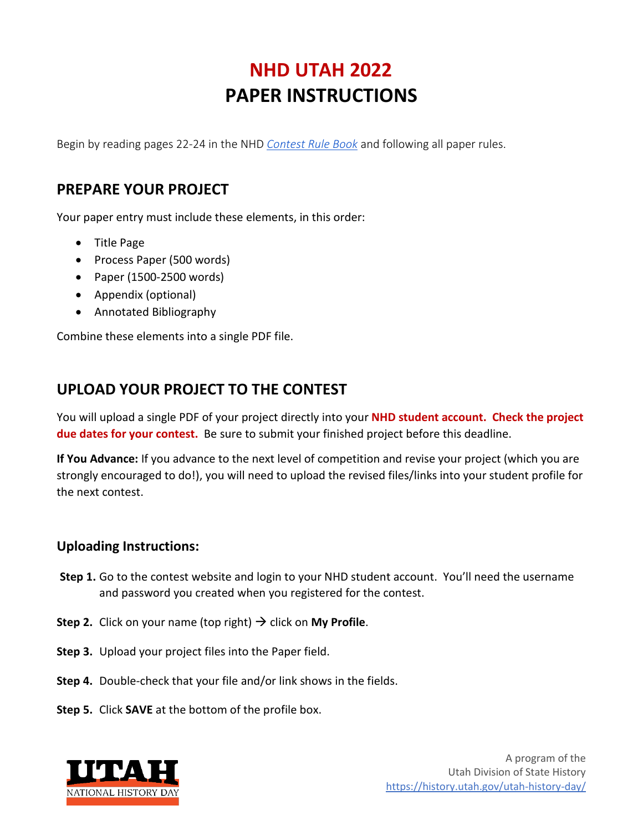## **NHD UTAH 2022 PAPER INSTRUCTIONS**

Begin by reading pages 22-24 in the NHD *[Contest Rule Book](https://www.nhd.org/sites/default/files/NHDRuleBook2021Digital.pdf)* and following all paper rules.

## **PREPARE YOUR PROJECT**

Your paper entry must include these elements, in this order:

- Title Page
- Process Paper (500 words)
- Paper (1500-2500 words)
- Appendix (optional)
- Annotated Bibliography

Combine these elements into a single PDF file.

## **UPLOAD YOUR PROJECT TO THE CONTEST**

You will upload a single PDF of your project directly into your **NHD student account. Check the project due dates for your contest.** Be sure to submit your finished project before this deadline.

**If You Advance:** If you advance to the next level of competition and revise your project (which you are strongly encouraged to do!), you will need to upload the revised files/links into your student profile for the next contest.

## **Uploading Instructions:**

- **Step 1.** Go to the contest website and login to your NHD student account. You'll need the username and password you created when you registered for the contest.
- **Step 2.** Click on your name (top right)  $\rightarrow$  click on My Profile.
- **Step 3.** Upload your project files into the Paper field.
- **Step 4.** Double-check that your file and/or link shows in the fields.
- **Step 5.** Click **SAVE** at the bottom of the profile box.